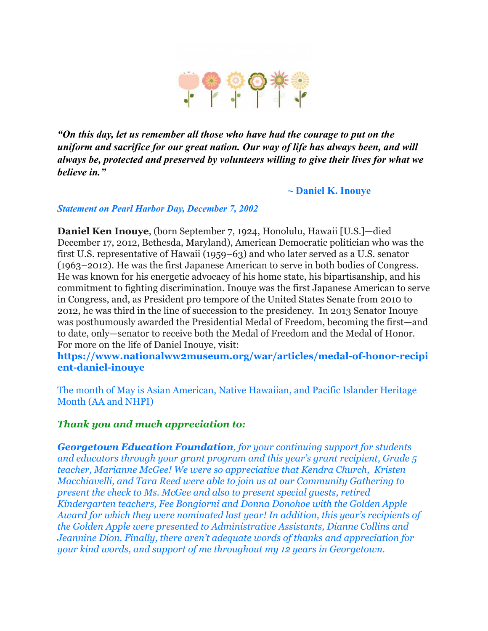

*"On this day, let us remember all those who have had the courage to put on the uniform and sacrifice for our great nation. Our way of life has always been, and will always be, protected and preserved by volunteers willing to give their lives for what we believe in."*

**~ Daniel K. Inouye**

*Statement on Pearl Harbor Day, December 7, 2002*

**Daniel Ken Inouye**, (born September 7, 1924, Honolulu, Hawaii [U.S.]—died December 17, 2012, Bethesda, Maryland), American Democratic politician who was the first U.S. representative of Hawaii (1959–63) and who later served as a U.S. senator (1963–2012). He was the first Japanese American to serve in both bodies of Congress. He was known for his energetic advocacy of his home state, his bipartisanship, and his commitment to fighting discrimination. Inouye was the first Japanese American to serve in Congress, and, as President pro tempore of the United States Senate from 2010 to 2012, he was third in the line of succession to the presidency. In 2013 Senator Inouye was posthumously awarded the Presidential Medal of Freedom, becoming the first—and to date, only—senator to receive both the Medal of Freedom and the Medal of Honor. For more on the life of Daniel Inouye, visit:

**https://www.nationalww2museum.org/war/articles/medal-of-honor-recipi ent-daniel-inouye**

The month of May is Asian American, Native Hawaiian, and Pacific Islander Heritage Month (AA and NHPI)

#### *Thank you and much appreciation to:*

*Georgetown Education Foundation, for your continuing support for students and educators through your grant program and this year's grant recipient, Grade 5 teacher, Marianne McGee! We were so appreciative that Kendra Church, Kristen Macchiavelli, and Tara Reed were able to join us at our Community Gathering to present the check to Ms. McGee and also to present special guests, retired Kindergarten teachers, Fee Bongiorni and Donna Donohoe with the Golden Apple Award for which they were nominated last year! In addition, this year's recipients of the Golden Apple were presented to Administrative Assistants, Dianne Collins and Jeannine Dion. Finally, there aren't adequate words of thanks and appreciation for your kind words, and support of me throughout my 12 years in Georgetown.*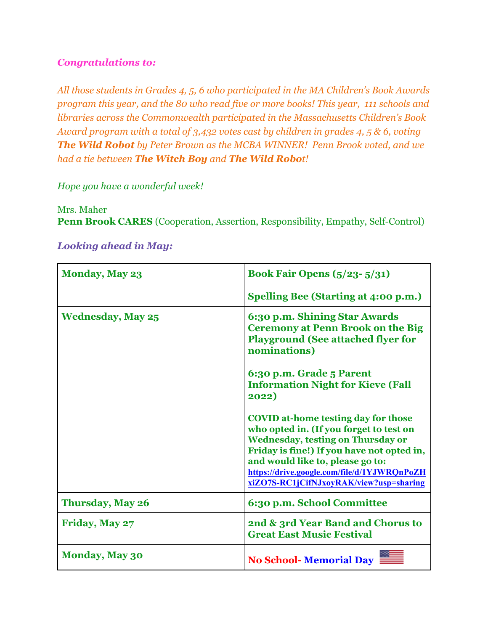## *Congratulations to:*

*All those students in Grades 4, 5, 6 who participated in the MA Children's Book Awards program this year, and the 80 who read five or more books! This year, 111 schools and libraries across the Commonwealth participated in the Massachusetts Children's Book Award program with a total of 3,432 votes cast by children in grades 4, 5 & 6, voting The Wild Robot by Peter Brown as the MCBA WINNER! Penn Brook voted, and we had a tie between The Witch Boy and The Wild Robot!*

## *Hope you have a wonderful week!*

## Mrs. Maher

**Penn Brook CARES** (Cooperation, Assertion, Responsibility, Empathy, Self-Control)

| <b>Monday, May 23</b>    | <b>Book Fair Opens (5/23-5/31)</b>                                                                                                                                                                                                                                                                            |
|--------------------------|---------------------------------------------------------------------------------------------------------------------------------------------------------------------------------------------------------------------------------------------------------------------------------------------------------------|
|                          | <b>Spelling Bee (Starting at 4:00 p.m.)</b>                                                                                                                                                                                                                                                                   |
| <b>Wednesday, May 25</b> | 6:30 p.m. Shining Star Awards<br><b>Ceremony at Penn Brook on the Big</b><br><b>Playground (See attached flyer for</b><br>nominations)                                                                                                                                                                        |
|                          | 6:30 p.m. Grade 5 Parent<br><b>Information Night for Kieve (Fall</b><br>2022)                                                                                                                                                                                                                                 |
|                          | <b>COVID at-home testing day for those</b><br>who opted in. (If you forget to test on<br><b>Wednesday, testing on Thursday or</b><br>Friday is fine!) If you have not opted in,<br>and would like to, please go to:<br>https://drive.google.com/file/d/1YJWRQnPoZH<br>xiZO7S-RC1jCifNJxoyRAK/view?usp=sharing |
| <b>Thursday, May 26</b>  | 6:30 p.m. School Committee                                                                                                                                                                                                                                                                                    |
| Friday, May 27           | 2nd & 3rd Year Band and Chorus to<br><b>Great East Music Festival</b>                                                                                                                                                                                                                                         |
| <b>Monday, May 30</b>    | <b>No School-Memorial Day</b>                                                                                                                                                                                                                                                                                 |

#### *Looking ahead in May:*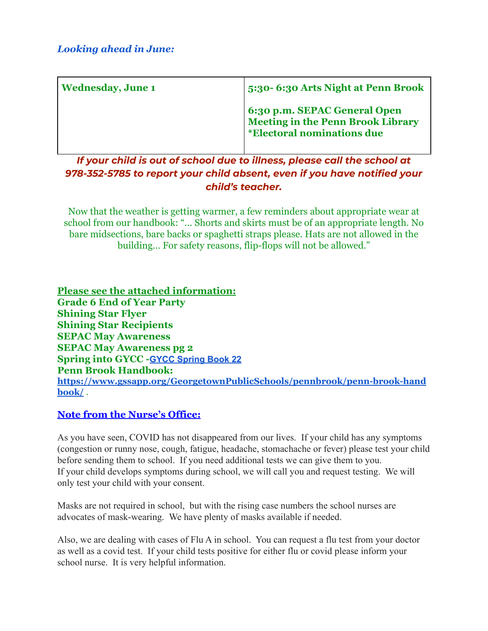| <b>Wednesday, June 1</b> | 5:30-6:30 Arts Night at Penn Brook                                                                     |
|--------------------------|--------------------------------------------------------------------------------------------------------|
|                          | 6:30 p.m. SEPAC General Open<br>Meeting in the Penn Brook Library<br><i>*Electoral nominations due</i> |

*If your child is out of school due to illness, please call the school at 978-352-5785 to report your child absent, even if you have notified your child's teacher.*

Now that the weather is getting warmer, a few reminders about appropriate wear at school from our handbook: "... Shorts and skirts must be of an appropriate length. No bare midsections, bare backs or spaghetti straps please. Hats are not allowed in the building… For safety reasons, flip-flops will not be allowed."

**Please see the attached information: Grade 6 End of Year Party Shining Star Flyer Shining Star Recipients SEPAC May Awareness SEPAC May Awareness pg 2 Spring into GYCC -GYCC [Spring](https://georgetownyouth.org/spring-book-22/) Book 22 Penn Brook Handbook: [https://www.gssapp.org/GeorgetownPublicSchools/pennbrook/penn-brook-hand](https://www.gssapp.org/GeorgetownPublicSchools/pennbrook/penn-brook-handbook/) [book/](https://www.gssapp.org/GeorgetownPublicSchools/pennbrook/penn-brook-handbook/)** .

# **Note from the Nurse's Office:**

As you have seen, COVID has not disappeared from our lives. If your child has any symptoms (congestion or runny nose, cough, fatigue, headache, stomachache or fever) please test your child before sending them to school. If you need additional tests we can give them to you. If your child develops symptoms during school, we will call you and request testing. We will only test your child with your consent.

Masks are not required in school, but with the rising case numbers the school nurses are advocates of mask-wearing. We have plenty of masks available if needed.

Also, we are dealing with cases of Flu A in school. You can request a flu test from your doctor as well as a covid test. If your child tests positive for either flu or covid please inform your school nurse. It is very helpful information.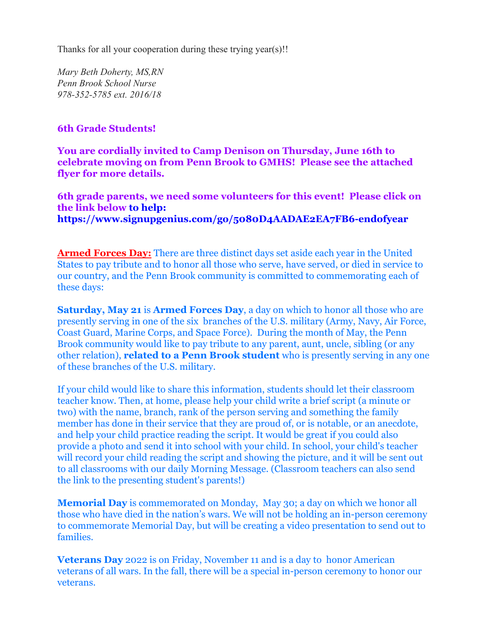Thanks for all your cooperation during these trying year(s)!!

*Mary Beth Doherty, MS,RN Penn Brook School Nurse 978-352-5785 ext. 2016/18*

### **6th Grade Students!**

**You are cordially invited to Camp Denison on Thursday, June 16th to celebrate moving on from Penn Brook to GMHS! Please see the attached flyer for more details.**

**6th grade parents, we need some volunteers for this event! Please click on the link below to help: <https://www.signupgenius.com/go/5080D4AADAE2EA7FB6-endofyear>**

**Armed Forces Day:** There are three distinct days set aside each year in the United States to pay tribute and to honor all those who serve, have served, or died in service to our country, and the Penn Brook community is committed to commemorating each of these days:

**Saturday, May 21** is **Armed Forces Day**, a day on which to honor all those who are presently serving in one of the six branches of the U.S. military (Army, Navy, Air Force, Coast Guard, Marine Corps, and Space Force). During the month of May, the Penn Brook community would like to pay tribute to any parent, aunt, uncle, sibling (or any other relation), **related to a Penn Brook student** who is presently serving in any one of these branches of the U.S. military.

If your child would like to share this information, students should let their classroom teacher know. Then, at home, please help your child write a brief script (a minute or two) with the name, branch, rank of the person serving and something the family member has done in their service that they are proud of, or is notable, or an anecdote, and help your child practice reading the script. It would be great if you could also provide a photo and send it into school with your child. In school, your child's teacher will record your child reading the script and showing the picture, and it will be sent out to all classrooms with our daily Morning Message. (Classroom teachers can also send the link to the presenting student's parents!)

**Memorial Day** is commemorated on Monday, May 30; a day on which we honor all those who have died in the nation's wars. We will not be holding an in-person ceremony to commemorate Memorial Day, but will be creating a video presentation to send out to families.

**Veterans Day** 2022 is on Friday, November 11 and is a day to honor American veterans of all wars. In the fall, there will be a special in-person ceremony to honor our veterans.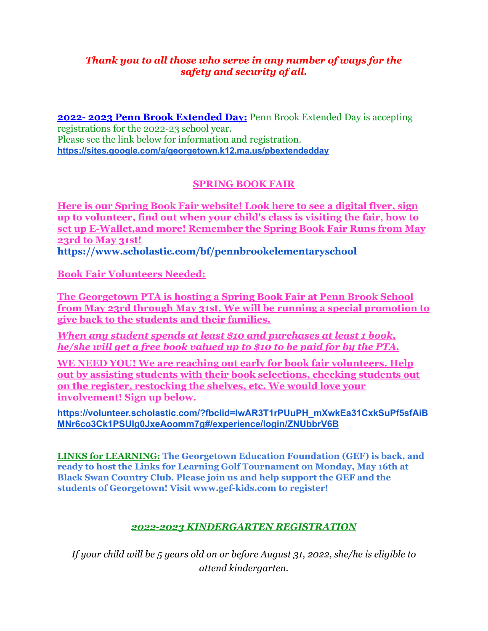## *Thank you to all those who serve in any number of ways for the safety and security of all.*

**2022- 2023 Penn Brook Extended Day:** Penn Brook Extended Day is accepting registrations for the 2022-23 school year. Please see the link below for information and registration. **<https://sites.google.com/a/georgetown.k12.ma.us/pbextendedday>**

# **SPRING BOOK FAIR**

**Here is our Spring Book Fair website! Look here to see a digital flyer, sign up to volunteer, find out when your child's class is visiting the fair, how to set up E-Wallet,and more! Remember the Spring Book Fair Runs from May 23rd to May 31st! [https://www.scholastic.com/bf/pennbrookelementaryschool](https://www.scholastic.com/bf/pennbrookelementaryschool?fbclid=IwAR0BeVKbfJRkeBpuGefi6gpSWpInx6sbVGPdgGW1LCp9fGkddS1Meskl29Y)**

**Book Fair Volunteers Needed:**

**The Georgetown PTA is hosting a Spring Book Fair at Penn Brook School from May 23rd through May 31st. We will be running a special promotion to give back to the students and their families.**

*When any student spends at least \$10 and purchases at least 1 book, he/she will get a free book valued up to \$10 to be paid for by the PTA.*

**WE NEED YOU! We are reaching out early for book fair volunteers. Help out by assisting students with their book selections, checking students out on the register, restocking the shelves, etc. We would love your involvement! Sign up below.**

**[https://volunteer.scholastic.com/?fbclid=IwAR3T1rPUuPH\\_mXwkEa31CxkSuPf5sfAiB](https://volunteer.scholastic.com/?fbclid=IwAR3T1rPUuPH_mXwkEa31CxkSuPf5sfAiBMNr6co3Ck1PSUIg0JxeAoomm7g#/experience/login/ZNUbbrV6B) [MNr6co3Ck1PSUIg0JxeAoomm7g#/experience/login/ZNUbbrV6B](https://volunteer.scholastic.com/?fbclid=IwAR3T1rPUuPH_mXwkEa31CxkSuPf5sfAiBMNr6co3Ck1PSUIg0JxeAoomm7g#/experience/login/ZNUbbrV6B)**

**LINKS for LEARNING: The Georgetown Education Foundation (GEF) is back, and ready to host the Links for Learning Golf Tournament on Monday, May 16th at Black Swan Country Club. Please join us and help support the GEF and the students of Georgetown! Visit [www.gef-kids.com](http://www.gef-kids.com/) to register!**

## *2022-2023 KINDERGARTEN REGISTRATION*

*If your child will be 5 years old on or before August 31, 2022, she/he is eligible to attend kindergarten.*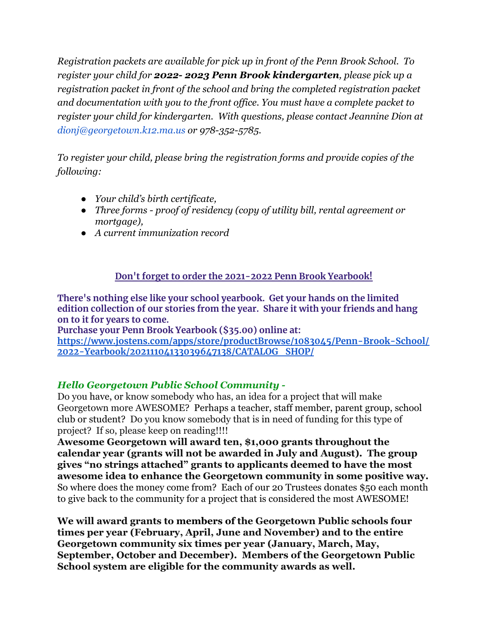*Registration packets are available for pick up in front of the Penn Brook School. To register your child for 2022- 2023 Penn Brook kindergarten, please pick up a registration packet in front of the school and bring the completed registration packet and documentation with you to the front office. You must have a complete packet to register your child for kindergarten. With questions, please contact Jeannine Dion at dionj@georgetown.k12.ma.us or 978-352-5785.*

*To register your child, please bring the registration forms and provide copies of the following:*

- *● Your child's birth certificate,*
- *● Three forms proof of residency (copy of utility bill, rental agreement or mortgage),*
- *● A current immunization record*

# **Don't forget to order the 2021-2022 Penn Brook Yearbook!**

**There's nothing else like your school yearbook. Get your hands on the limited edition collection of our stories from the year. Share it with your friends and hang on to it for years to come.**

**Purchase your Penn Brook Yearbook (\$35.00) online at: [https://www.jostens.com/apps/store/productBrowse/1083045/Penn-Brook-School/](https://www.jostens.com/apps/store/productBrowse/1083045/Penn-Brook-School/2022-Yearbook/20211104133039647138/CATALOG_SHOP/) [2022-Yearbook/20211104133039647138/CATALOG\\_SHOP/](https://www.jostens.com/apps/store/productBrowse/1083045/Penn-Brook-School/2022-Yearbook/20211104133039647138/CATALOG_SHOP/)**

## *Hello Georgetown Public School Community -*

Do you have, or know somebody who has, an idea for a project that will make Georgetown more AWESOME? Perhaps a teacher, staff member, parent group, school club or student? Do you know somebody that is in need of funding for this type of project? If so, please keep on reading!!!!

**Awesome Georgetown will award ten, \$1,000 grants throughout the calendar year (grants will not be awarded in July and August). The group gives "no strings attached" grants to applicants deemed to have the most awesome idea to enhance the Georgetown community in some positive way.** So where does the money come from? Each of our 20 Trustees donates \$50 each month to give back to the community for a project that is considered the most AWESOME!

**We will award grants to members of the Georgetown Public schools four times per year (February, April, June and November) and to the entire Georgetown community six times per year (January, March, May, September, October and December). Members of the Georgetown Public School system are eligible for the community awards as well.**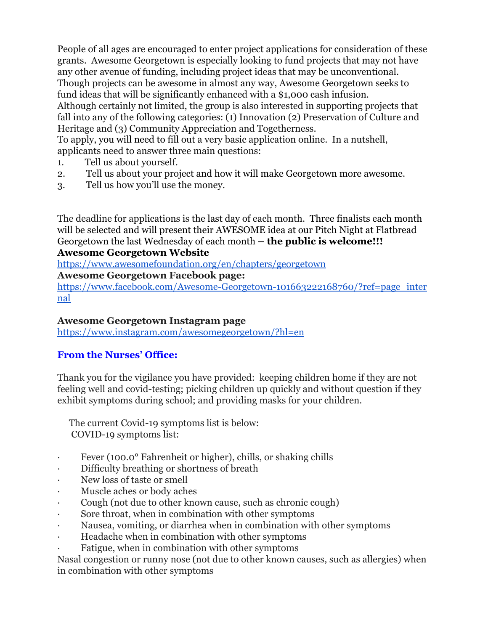People of all ages are encouraged to enter project applications for consideration of these grants. Awesome Georgetown is especially looking to fund projects that may not have any other avenue of funding, including project ideas that may be unconventional. Though projects can be awesome in almost any way, Awesome Georgetown seeks to fund ideas that will be significantly enhanced with a \$1,000 cash infusion.

Although certainly not limited, the group is also interested in supporting projects that fall into any of the following categories: (1) Innovation (2) Preservation of Culture and Heritage and (3) Community Appreciation and Togetherness.

To apply, you will need to fill out a very basic application online. In a nutshell, applicants need to answer three main questions:

- 1. Tell us about yourself.
- 2. Tell us about your project and how it will make Georgetown more awesome.
- 3. Tell us how you'll use the money.

The deadline for applications is the last day of each month. Three finalists each month will be selected and will present their AWESOME idea at our Pitch Night at Flatbread Georgetown the last Wednesday of each month **– the public is welcome!!! Awesome Georgetown Website**

[https://www.awesomefoundation.org/en/chapters/georgetown](https://nam12.safelinks.protection.outlook.com/?url=https%3A%2F%2Fwww.awesomefoundation.org%2Fen%2Fchapters%2Fgeorgetown&data=04%7C01%7C%7Cfd54be8102cb43b8c16608d9d051d4ac%7Cdd36bfd3ac1e4d8db9ec4af78dea44af%7C0%7C0%7C637769872595587143%7CUnknown%7CTWFpbGZsb3d8eyJWIjoiMC4wLjAwMDAiLCJQIjoiV2luMzIiLCJBTiI6Ik1haWwiLCJXVCI6Mn0%3D%7C2000&sdata=FQtgKapVR11NAJYeG64%2FhrUqSqphPOQ9DteIj0fNITM%3D&reserved=0)

**Awesome Georgetown Facebook page:**

[https://www.facebook.com/Awesome-Georgetown-101663222168760/?ref=page\\_inter](https://nam12.safelinks.protection.outlook.com/?url=https%3A%2F%2Fwww.facebook.com%2FAwesome-Georgetown-101663222168760%2F%3Fref%3Dpage_internal&data=04%7C01%7C%7Cfd54be8102cb43b8c16608d9d051d4ac%7Cdd36bfd3ac1e4d8db9ec4af78dea44af%7C0%7C0%7C637769872595587143%7CUnknown%7CTWFpbGZsb3d8eyJWIjoiMC4wLjAwMDAiLCJQIjoiV2luMzIiLCJBTiI6Ik1haWwiLCJXVCI6Mn0%3D%7C2000&sdata=wfzwIthRNTG%2FvjAUN2elDxb7MZf5NkVJm2FYVov%2F2e4%3D&reserved=0) [nal](https://nam12.safelinks.protection.outlook.com/?url=https%3A%2F%2Fwww.facebook.com%2FAwesome-Georgetown-101663222168760%2F%3Fref%3Dpage_internal&data=04%7C01%7C%7Cfd54be8102cb43b8c16608d9d051d4ac%7Cdd36bfd3ac1e4d8db9ec4af78dea44af%7C0%7C0%7C637769872595587143%7CUnknown%7CTWFpbGZsb3d8eyJWIjoiMC4wLjAwMDAiLCJQIjoiV2luMzIiLCJBTiI6Ik1haWwiLCJXVCI6Mn0%3D%7C2000&sdata=wfzwIthRNTG%2FvjAUN2elDxb7MZf5NkVJm2FYVov%2F2e4%3D&reserved=0)

# **Awesome Georgetown Instagram page**

[https://www.instagram.com/awesomegeorgetown/?hl=en](https://nam12.safelinks.protection.outlook.com/?url=https%3A%2F%2Fwww.instagram.com%2Fawesomegeorgetown%2F%3Fhl%3Den&data=04%7C01%7C%7Cfd54be8102cb43b8c16608d9d051d4ac%7Cdd36bfd3ac1e4d8db9ec4af78dea44af%7C0%7C0%7C637769872595587143%7CUnknown%7CTWFpbGZsb3d8eyJWIjoiMC4wLjAwMDAiLCJQIjoiV2luMzIiLCJBTiI6Ik1haWwiLCJXVCI6Mn0%3D%7C2000&sdata=gVzO07FWNRUgAyapDbZ63h5JOhivu6Fs7OLrPVB0kTY%3D&reserved=0)

# **From the Nurses' Office:**

Thank you for the vigilance you have provided: keeping children home if they are not feeling well and covid-testing; picking children up quickly and without question if they exhibit symptoms during school; and providing masks for your children.

The current Covid-19 symptoms list is below: COVID-19 symptoms list:

- Fever (100.0° Fahrenheit or higher), chills, or shaking chills
- · Difficulty breathing or shortness of breath
- New loss of taste or smell
- · Muscle aches or body aches
- · Cough (not due to other known cause, such as chronic cough)
- Sore throat, when in combination with other symptoms
- · Nausea, vomiting, or diarrhea when in combination with other symptoms
- Headache when in combination with other symptoms
- Fatigue, when in combination with other symptoms

Nasal congestion or runny nose (not due to other known causes, such as allergies) when in combination with other symptoms